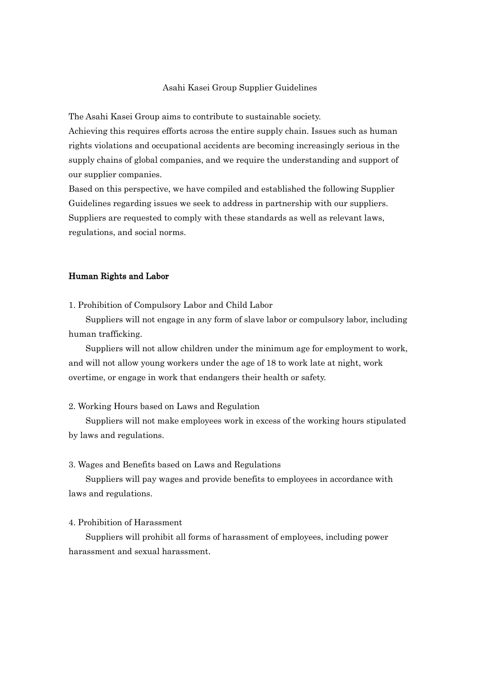## Asahi Kasei Group Supplier Guidelines

The Asahi Kasei Group aims to contribute to sustainable society.

Achieving this requires efforts across the entire supply chain. Issues such as human rights violations and occupational accidents are becoming increasingly serious in the supply chains of global companies, and we require the understanding and support of our supplier companies.

Based on this perspective, we have compiled and established the following Supplier Guidelines regarding issues we seek to address in partnership with our suppliers. Suppliers are requested to comply with these standards as well as relevant laws, regulations, and social norms.

### Human Rights and Labor

1. Prohibition of Compulsory Labor and Child Labor

Suppliers will not engage in any form of slave labor or compulsory labor, including human trafficking.

Suppliers will not allow children under the minimum age for employment to work, and will not allow young workers under the age of 18 to work late at night, work overtime, or engage in work that endangers their health or safety.

#### 2. Working Hours based on Laws and Regulation

Suppliers will not make employees work in excess of the working hours stipulated by laws and regulations.

#### 3. Wages and Benefits based on Laws and Regulations

Suppliers will pay wages and provide benefits to employees in accordance with laws and regulations.

### 4. Prohibition of Harassment

Suppliers will prohibit all forms of harassment of employees, including power harassment and sexual harassment.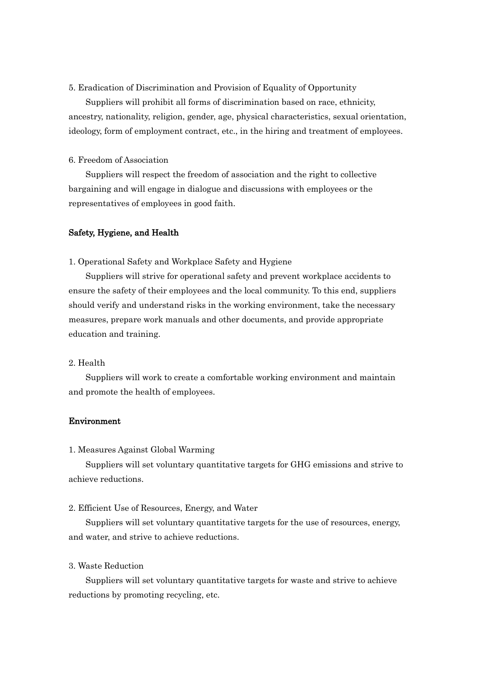## 5. Eradication of Discrimination and Provision of Equality of Opportunity

Suppliers will prohibit all forms of discrimination based on race, ethnicity, ancestry, nationality, religion, gender, age, physical characteristics, sexual orientation, ideology, form of employment contract, etc., in the hiring and treatment of employees.

### 6. Freedom of Association

Suppliers will respect the freedom of association and the right to collective bargaining and will engage in dialogue and discussions with employees or the representatives of employees in good faith.

### Safety, Hygiene, and Health

1. Operational Safety and Workplace Safety and Hygiene

Suppliers will strive for operational safety and prevent workplace accidents to ensure the safety of their employees and the local community. To this end, suppliers should verify and understand risks in the working environment, take the necessary measures, prepare work manuals and other documents, and provide appropriate education and training.

#### 2. Health

Suppliers will work to create a comfortable working environment and maintain and promote the health of employees.

# Environment

### 1. Measures Against Global Warming

Suppliers will set voluntary quantitative targets for GHG emissions and strive to achieve reductions.

### 2. Efficient Use of Resources, Energy, and Water

Suppliers will set voluntary quantitative targets for the use of resources, energy, and water, and strive to achieve reductions.

## 3. Waste Reduction

Suppliers will set voluntary quantitative targets for waste and strive to achieve reductions by promoting recycling, etc.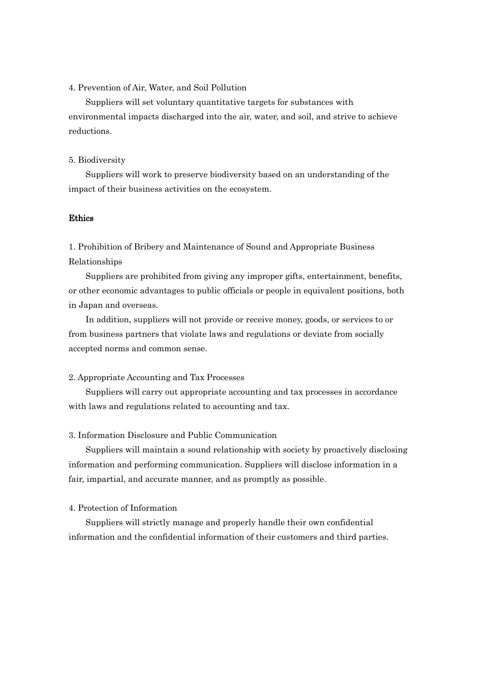## 4. Prevention of Air, Water, and Soil Pollution

Suppliers will set voluntary quantitative targets for substances with environmental impacts discharged into the air, water, and soil, and strive to achieve reductions.

#### 5. Biodiversity

Suppliers will work to preserve biodiversity based on an understanding of the impact of their business activities on the ecosystem.

## Ethics

1. Prohibition of Bribery and Maintenance of Sound and Appropriate Business Relationships

Suppliers are prohibited from giving any improper gifts, entertainment, benefits, or other economic advantages to public officials or people in equivalent positions, both in Japan and overseas.

In addition, suppliers will not provide or receive money, goods, or services to or from business partners that violate laws and regulations or deviate from socially accepted norms and common sense.

### 2. Appropriate Accounting and Tax Processes

Suppliers will carry out appropriate accounting and tax processes in accordance with laws and regulations related to accounting and tax.

# 3. Information Disclosure and Public Communication

Suppliers will maintain a sound relationship with society by proactively disclosing information and performing communication. Suppliers will disclose information in a fair, impartial, and accurate manner, and as promptly as possible.

## 4. Protection of Information

Suppliers will strictly manage and properly handle their own confidential information and the confidential information of their customers and third parties.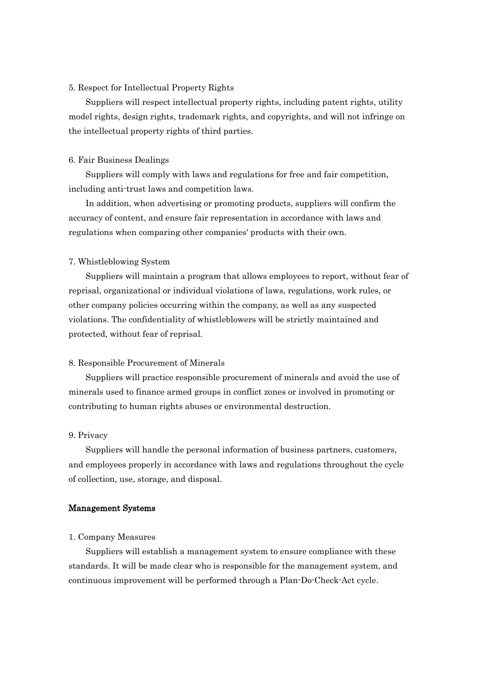# 5. Respect for Intellectual Property Rights

Suppliers will respect intellectual property rights, including patent rights, utility model rights, design rights, trademark rights, and copyrights, and will not infringe on the intellectual property rights of third parties.

#### 6. Fair Business Dealings

Suppliers will comply with laws and regulations for free and fair competition, including anti-trust laws and competition laws.

In addition, when advertising or promoting products, suppliers will confirm the accuracy of content, and ensure fair representation in accordance with laws and regulations when comparing other companies' products with their own.

## 7. Whistleblowing System

Suppliers will maintain a program that allows employees to report, without fear of reprisal, organizational or individual violations of laws, regulations, work rules, or other company policies occurring within the company, as well as any suspected violations. The confidentiality of whistleblowers will be strictly maintained and protected, without fear of reprisal.

#### 8. Responsible Procurement of Minerals

Suppliers will practice responsible procurement of minerals and avoid the use of minerals used to finance armed groups in conflict zones or involved in promoting or contributing to human rights abuses or environmental destruction.

## 9. Privacy

Suppliers will handle the personal information of business partners, customers, and employees properly in accordance with laws and regulations throughout the cycle of collection, use, storage, and disposal.

## Management Systems

#### 1. Company Measures

Suppliers will establish a management system to ensure compliance with these standards. It will be made clear who is responsible for the management system, and continuous improvement will be performed through a Plan-Do-Check-Act cycle.